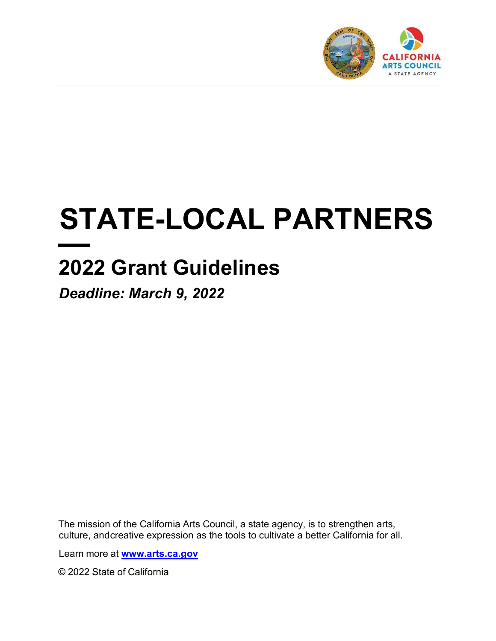

# **STATE-LOCAL PARTNERS**

# **2022 Grant Guidelines**

*Deadline: March 9, 2022*

The mission of the California Arts Council, a state agency, is to strengthen arts, culture, and creative expression as the tools to cultivate a better California for all.

Learn more at **[www.arts.ca.gov](http://www.arts.ca.gov/)**

© 2022 State of California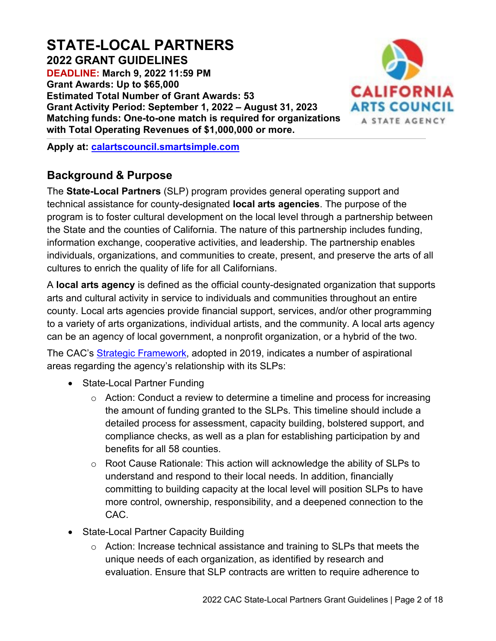# **STATE-LOCAL PARTNERS**

**2022 GRANT GUIDELINES DEADLINE: March 9, 2022 11:59 PM Grant Awards: Up to \$65,000 Estimated Total Number of Grant Awards: 53 Grant Activity Period: September 1, 2022 – August 31, 2023 Matching funds: One-to-one match is required for organizations with Total Operating Revenues of \$1,000,000 or more.**



**Apply at: [calartscouncil.smartsimple.com](https://calartscouncil.smartsimple.com/)**

# **Background & Purpose**

The **State-Local Partners** (SLP) program provides general operating support and technical assistance for county-designated **local arts agencies**. The purpose of the program is to foster cultural development on the local level through a partnership between the State and the counties of California. The nature of this partnership includes funding, information exchange, cooperative activities, and leadership. The partnership enables individuals, organizations, and communities to create, present, and preserve the arts of all cultures to enrich the quality of life for all Californians.

A **local arts agency** is defined as the official county-designated organization that supports arts and cultural activity in service to individuals and communities throughout an entire county. Local arts agencies provide financial support, services, and/or other programming to a variety of arts organizations, individual artists, and the community. A local arts agency can be an agency of local government, a nonprofit organization, or a hybrid of the two.

The CAC's [Strategic Framework,](https://arts.ca.gov/about/how-we-think/) adopted in 2019, indicates a number of aspirational areas regarding the agency's relationship with its SLPs:

- State-Local Partner Funding
	- $\circ$  Action: Conduct a review to determine a timeline and process for increasing the amount of funding granted to the SLPs. This timeline should include a detailed process for assessment, capacity building, bolstered support, and compliance checks, as well as a plan for establishing participation by and benefits for all 58 counties.
	- $\circ$  Root Cause Rationale: This action will acknowledge the ability of SLPs to understand and respond to their local needs. In addition, financially committing to building capacity at the local level will position SLPs to have more control, ownership, responsibility, and a deepened connection to the CAC.
- State-Local Partner Capacity Building
	- o Action: Increase technical assistance and training to SLPs that meets the unique needs of each organization, as identified by research and evaluation. Ensure that SLP contracts are written to require adherence to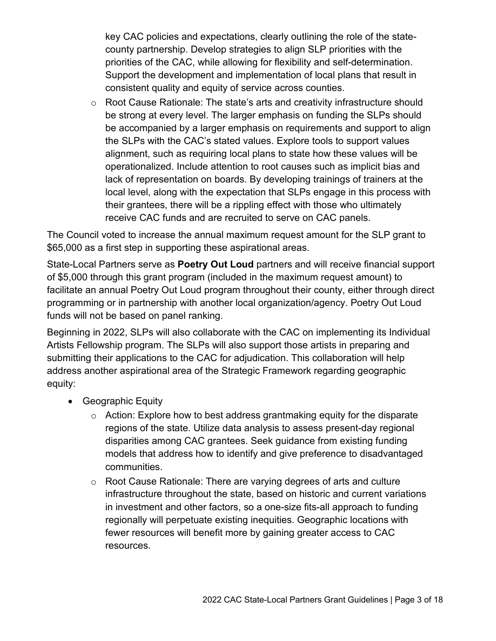key CAC policies and expectations, clearly outlining the role of the statecounty partnership. Develop strategies to align SLP priorities with the priorities of the CAC, while allowing for flexibility and self-determination. Support the development and implementation of local plans that result in consistent quality and equity of service across counties.

o Root Cause Rationale: The state's arts and creativity infrastructure should be strong at every level. The larger emphasis on funding the SLPs should be accompanied by a larger emphasis on requirements and support to align the SLPs with the CAC's stated values. Explore tools to support values alignment, such as requiring local plans to state how these values will be operationalized. Include attention to root causes such as implicit bias and lack of representation on boards. By developing trainings of trainers at the local level, along with the expectation that SLPs engage in this process with their grantees, there will be a rippling effect with those who ultimately receive CAC funds and are recruited to serve on CAC panels.

The Council voted to increase the annual maximum request amount for the SLP grant to \$65,000 as a first step in supporting these aspirational areas.

State-Local Partners serve as **Poetry Out Loud** partners and will receive financial support of \$5,000 through this grant program (included in the maximum request amount) to facilitate an annual Poetry Out Loud program throughout their county, either through direct programming or in partnership with another local organization/agency. Poetry Out Loud funds will not be based on panel ranking.

Beginning in 2022, SLPs will also collaborate with the CAC on implementing its Individual Artists Fellowship program. The SLPs will also support those artists in preparing and submitting their applications to the CAC for adjudication. This collaboration will help address another aspirational area of the Strategic Framework regarding geographic equity:

- Geographic Equity
	- o Action: Explore how to best address grantmaking equity for the disparate regions of the state. Utilize data analysis to assess present-day regional disparities among CAC grantees. Seek guidance from existing funding models that address how to identify and give preference to disadvantaged communities.
	- o Root Cause Rationale: There are varying degrees of arts and culture infrastructure throughout the state, based on historic and current variations in investment and other factors, so a one-size fits-all approach to funding regionally will perpetuate existing inequities. Geographic locations with fewer resources will benefit more by gaining greater access to CAC resources.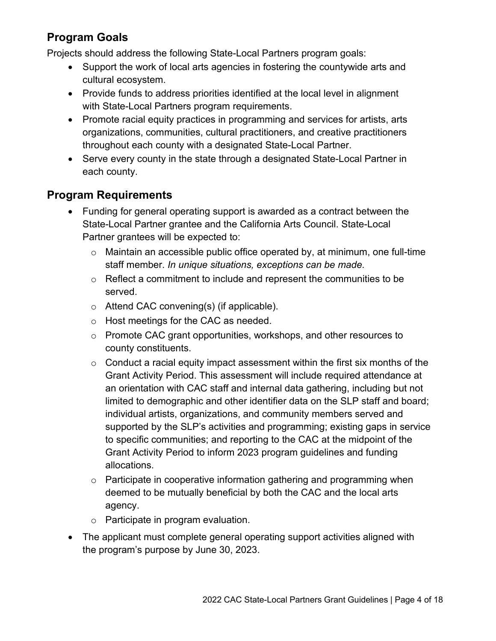# **Program Goals**

Projects should address the following State-Local Partners program goals:

- Support the work of local arts agencies in fostering the countywide arts and cultural ecosystem.
- Provide funds to address priorities identified at the local level in alignment with State-Local Partners program requirements.
- Promote racial equity practices in programming and services for artists, arts organizations, communities, cultural practitioners, and creative practitioners throughout each county with a designated State-Local Partner.
- Serve every county in the state through a designated State-Local Partner in each county.

# **Program Requirements**

- Funding for general operating support is awarded as a contract between the State-Local Partner grantee and the California Arts Council. State-Local Partner grantees will be expected to:
	- o Maintain an accessible public office operated by, at minimum, one full-time staff member. *In unique situations, exceptions can be made.*
	- o Reflect a commitment to include and represent the communities to be served.
	- o Attend CAC convening(s) (if applicable).
	- o Host meetings for the CAC as needed.
	- o Promote CAC grant opportunities, workshops, and other resources to county constituents.
	- $\circ$  Conduct a racial equity impact assessment within the first six months of the Grant Activity Period. This assessment will include required attendance at an orientation with CAC staff and internal data gathering, including but not limited to demographic and other identifier data on the SLP staff and board; individual artists, organizations, and community members served and supported by the SLP's activities and programming; existing gaps in service to specific communities; and reporting to the CAC at the midpoint of the Grant Activity Period to inform 2023 program guidelines and funding allocations.
	- $\circ$  Participate in cooperative information gathering and programming when deemed to be mutually beneficial by both the CAC and the local arts agency.
	- o Participate in program evaluation.
- The applicant must complete general operating support activities aligned with the program's purpose by June 30, 2023.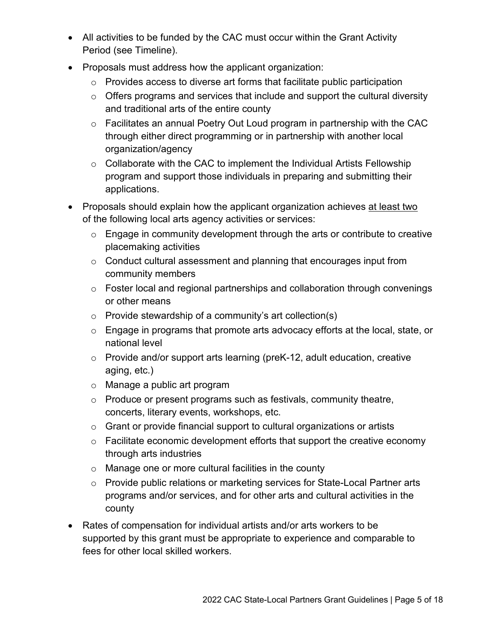- All activities to be funded by the CAC must occur within the Grant Activity Period (see Timeline).
- Proposals must address how the applicant organization:
	- o Provides access to diverse art forms that facilitate public participation
	- $\circ$  Offers programs and services that include and support the cultural diversity and traditional arts of the entire county
	- o Facilitates an annual Poetry Out Loud program in partnership with the CAC through either direct programming or in partnership with another local organization/agency
	- $\circ$  Collaborate with the CAC to implement the Individual Artists Fellowship program and support those individuals in preparing and submitting their applications.
- Proposals should explain how the applicant organization achieves at least two of the following local arts agency activities or services:
	- $\circ$  Engage in community development through the arts or contribute to creative placemaking activities
	- $\circ$  Conduct cultural assessment and planning that encourages input from community members
	- $\circ$  Foster local and regional partnerships and collaboration through convenings or other means
	- $\circ$  Provide stewardship of a community's art collection(s)
	- o Engage in programs that promote arts advocacy efforts at the local, state, or national level
	- o Provide and/or support arts learning (preK-12, adult education, creative aging, etc.)
	- o Manage a public art program
	- $\circ$  Produce or present programs such as festivals, community theatre, concerts, literary events, workshops, etc.
	- o Grant or provide financial support to cultural organizations or artists
	- $\circ$  Facilitate economic development efforts that support the creative economy through arts industries
	- o Manage one or more cultural facilities in the county
	- o Provide public relations or marketing services for State-Local Partner arts programs and/or services, and for other arts and cultural activities in the county
- Rates of compensation for individual artists and/or arts workers to be supported by this grant must be appropriate to experience and comparable to fees for other local skilled workers.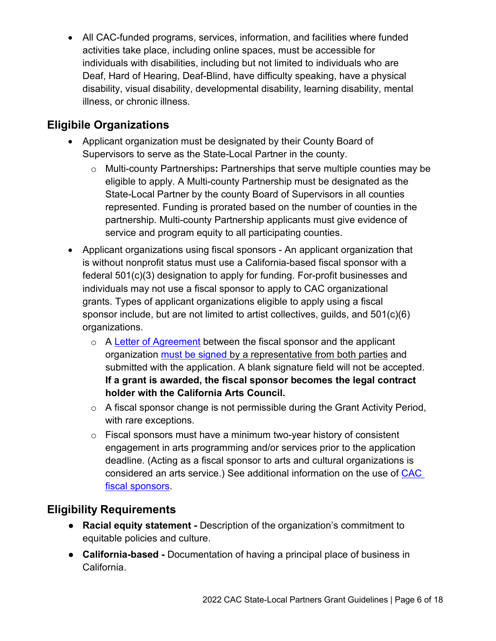• All CAC-funded programs, services, information, and facilities where funded activities take place, including online spaces, must be accessible for individuals with disabilities, including but not limited to individuals who are Deaf, Hard of Hearing, Deaf-Blind, have difficulty speaking, have a physical disability, visual disability, developmental disability, learning disability, mental illness, or chronic illness.

# **Eligibile Organizations**

- Applicant organization must be designated by their County Board of Supervisors to serve as the State-Local Partner in the county.
	- o Multi-county Partnerships**:** Partnerships that serve multiple counties may be eligible to apply. A Multi-county Partnership must be designated as the State-Local Partner by the county Board of Supervisors in all counties represented. Funding is prorated based on the number of counties in the partnership. Multi-county Partnership applicants must give evidence of service and program equity to all participating counties.
- Applicant organizations using fiscal sponsors An applicant organization that is without nonprofit status must use a California-based fiscal sponsor with a federal 501(c)(3) designation to apply for funding. For-profit businesses and individuals may not use a fiscal sponsor to apply to CAC organizational grants. Types of applicant organizations eligible to apply using a fiscal sponsor include, but are not limited to artist collectives, guilds, and 501(c)(6) organizations.
	- o A [Letter of Agreement](https://arts.ca.gov/fiscalsponsorletter/) between the fiscal sponsor and the applicant organization [must be signed](https://arts.ca.gov/definitionofasignature/) by a representative from both parties and submitted with the application. A blank signature field will not be accepted. **If a grant is awarded, the fiscal sponsor becomes the legal contract holder with the California Arts Council.**
	- o A fiscal sponsor change is not permissible during the Grant Activity Period, with rare exceptions.
	- $\circ$  Fiscal sponsors must have a minimum two-year history of consistent engagement in arts programming and/or services prior to the application deadline. (Acting as a fiscal sponsor to arts and cultural organizations is considered an arts service.) See additional information on the use of [CAC](https://arts.ca.gov/fiscalsponsorpolicy/) [fiscal sponsors.](https://arts.ca.gov/fiscalsponsorpolicy/)

# **Eligibility Requirements**

- **Racial equity statement -** Description of the organization's commitment to equitable policies and culture.
- **California-based** Documentation of having a principal place of business in California.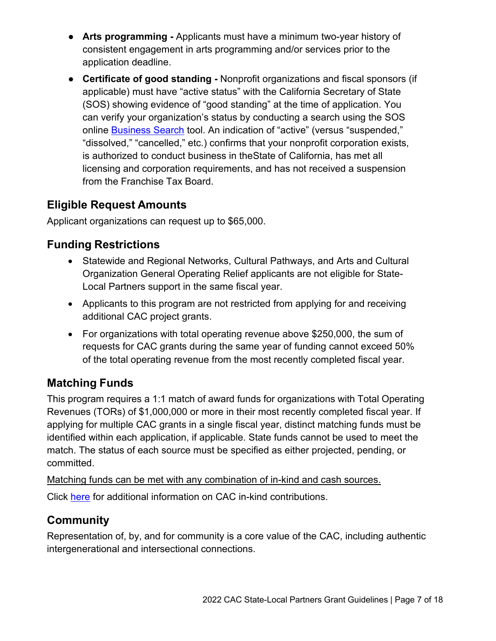- **Arts programming** Applicants must have a minimum two-year history of consistent engagement in arts programming and/or services prior to the application deadline.
- **Certificate of good standing** Nonprofit organizations and fiscal sponsors (if applicable) must have "active status" with the California Secretary of State (SOS) showing evidence of "good standing" at the time of application. You can verify your organization's status by conducting a search using the SOS online [Business Search](https://businesssearch.sos.ca.gov/) tool. An indication of "active" (versus "suspended," "dissolved," "cancelled," etc.) confirms that your nonprofit corporation exists, is authorized to conduct business in theState of California, has met all licensing and corporation requirements, and has not received a suspension from the Franchise Tax Board.

# **Eligible Request Amounts**

Applicant organizations can request up to \$65,000.

# **Funding Restrictions**

- Statewide and Regional Networks, Cultural Pathways, and Arts and Cultural Organization General Operating Relief applicants are not eligible for State-Local Partners support in the same fiscal year.
- Applicants to this program are not restricted from applying for and receiving additional CAC project grants.
- For organizations with total operating revenue above \$250,000, the sum of requests for CAC grants during the same year of funding cannot exceed 50% of the total operating revenue from the most recently completed fiscal year.

# **Matching Funds**

This program requires a 1:1 match of award funds for organizations with Total Operating Revenues (TORs) of \$1,000,000 or more in their most recently completed fiscal year. If applying for multiple CAC grants in a single fiscal year, distinct matching funds must be identified within each application, if applicable. State funds cannot be used to meet the match. The status of each source must be specified as either projected, pending, or committed.

Matching funds can be met with any combination of in-kind and cash sources.

Click [here](https://arts.ca.gov/inkind/) for additional information on CAC in-kind contributions.

# **Community**

Representation of, by, and for community is a core value of the CAC, including authentic intergenerational and intersectional connections.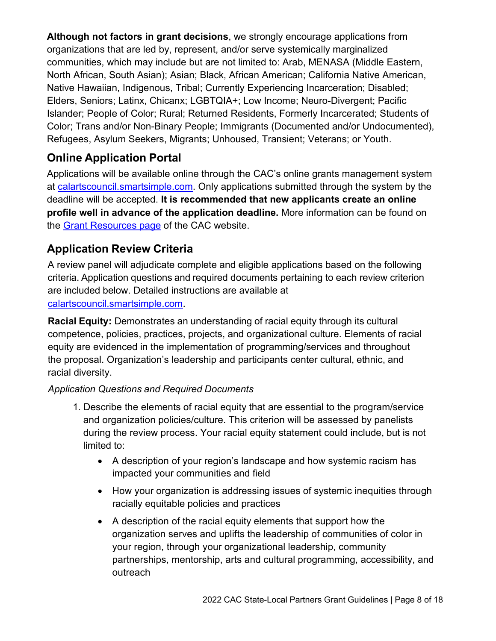**Although not factors in grant decisions**, we strongly encourage applications from organizations that are led by, represent, and/or serve systemically marginalized communities, which may include but are not limited to: Arab, MENASA (Middle Eastern, North African, South Asian); Asian; Black, African American; California Native American, Native Hawaiian, Indigenous, Tribal; Currently Experiencing Incarceration; Disabled; Elders, Seniors; Latinx, Chicanx; LGBTQIA+; Low Income; Neuro-Divergent; Pacific Islander; People of Color; Rural; Returned Residents, Formerly Incarcerated; Students of Color; Trans and/or Non-Binary People; Immigrants (Documented and/or Undocumented), Refugees, Asylum Seekers, Migrants; Unhoused, Transient; Veterans; or Youth.

# **Online Application Portal**

Applications will be available online through the CAC's online grants management system at [calartscouncil.smartsimple.com.](https://calartscouncil.smartsimple.com/s_Login.jsp) Only applications submitted through the system by the deadline will be accepted. **It is recommended that new applicants create an online profile well in advance of the application deadline.** More information can be found on the Grant [Resources page](https://arts.ca.gov/grants/resources/) of the CAC website.

# **Application Review Criteria**

A review panel will adjudicate complete and eligible applications based on the following criteria. Application questions and required documents pertaining to each review criterion are included below. Detailed instructions are available at

[calartscouncil.smartsimple.com.](https://calartscouncil.smartsimple.com/s_Login.jsp)

**Racial Equity:** Demonstrates an understanding of racial equity through its cultural competence, policies, practices, projects, and organizational culture. Elements of racial equity are evidenced in the implementation of programming/services and throughout the proposal. Organization's leadership and participants center cultural, ethnic, and racial diversity.

- 1. Describe the elements of racial equity that are essential to the program/service and organization policies/culture. This criterion will be assessed by panelists during the review process. Your racial equity statement could include, but is not limited to:
	- A description of your region's landscape and how systemic racism has impacted your communities and field
	- How your organization is addressing issues of systemic inequities through racially equitable policies and practices
	- A description of the racial equity elements that support how the organization serves and uplifts the leadership of communities of color in your region, through your organizational leadership, community partnerships, mentorship, arts and cultural programming, accessibility, and outreach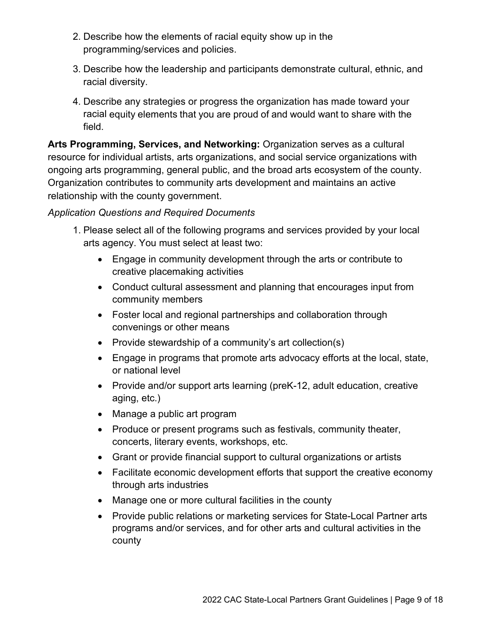- 2. Describe how the elements of racial equity show up in the programming/services and policies.
- 3. Describe how the leadership and participants demonstrate cultural, ethnic, and racial diversity.
- 4. Describe any strategies or progress the organization has made toward your racial equity elements that you are proud of and would want to share with the field.

**Arts Programming, Services, and Networking:** Organization serves as a cultural resource for individual artists, arts organizations, and social service organizations with ongoing arts programming, general public, and the broad arts ecosystem of the county. Organization contributes to community arts development and maintains an active relationship with the county government.

- 1. Please select all of the following programs and services provided by your local arts agency. You must select at least two:
	- Engage in community development through the arts or contribute to creative placemaking activities
	- Conduct cultural assessment and planning that encourages input from community members
	- Foster local and regional partnerships and collaboration through convenings or other means
	- Provide stewardship of a community's art collection(s)
	- Engage in programs that promote arts advocacy efforts at the local, state, or national level
	- Provide and/or support arts learning (preK-12, adult education, creative aging, etc.)
	- Manage a public art program
	- Produce or present programs such as festivals, community theater, concerts, literary events, workshops, etc.
	- Grant or provide financial support to cultural organizations or artists
	- Facilitate economic development efforts that support the creative economy through arts industries
	- Manage one or more cultural facilities in the county
	- Provide public relations or marketing services for State-Local Partner arts programs and/or services, and for other arts and cultural activities in the county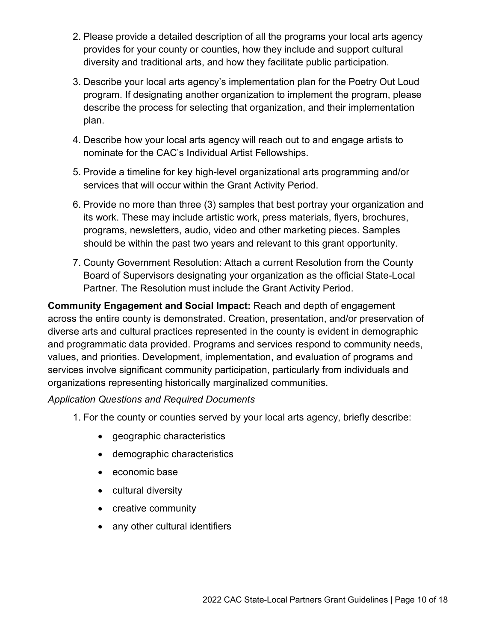- 2. Please provide a detailed description of all the programs your local arts agency provides for your county or counties, how they include and support cultural diversity and traditional arts, and how they facilitate public participation.
- 3. Describe your local arts agency's implementation plan for the Poetry Out Loud program. If designating another organization to implement the program, please describe the process for selecting that organization, and their implementation plan.
- 4. Describe how your local arts agency will reach out to and engage artists to nominate for the CAC's Individual Artist Fellowships.
- 5. Provide a timeline for key high-level organizational arts programming and/or services that will occur within the Grant Activity Period.
- 6. Provide no more than three (3) samples that best portray your organization and its work. These may include artistic work, press materials, flyers, brochures, programs, newsletters, audio, video and other marketing pieces. Samples should be within the past two years and relevant to this grant opportunity.
- 7. County Government Resolution: Attach a current Resolution from the County Board of Supervisors designating your organization as the official State-Local Partner. The Resolution must include the Grant Activity Period.

**Community Engagement and Social Impact:** Reach and depth of engagement across the entire county is demonstrated. Creation, presentation, and/or preservation of diverse arts and cultural practices represented in the county is evident in demographic and programmatic data provided. Programs and services respond to community needs, values, and priorities. Development, implementation, and evaluation of programs and services involve significant community participation, particularly from individuals and organizations representing historically marginalized communities.

- 1. For the county or counties served by your local arts agency, briefly describe:
	- geographic characteristics
	- demographic characteristics
	- economic base
	- cultural diversity
	- creative community
	- any other cultural identifiers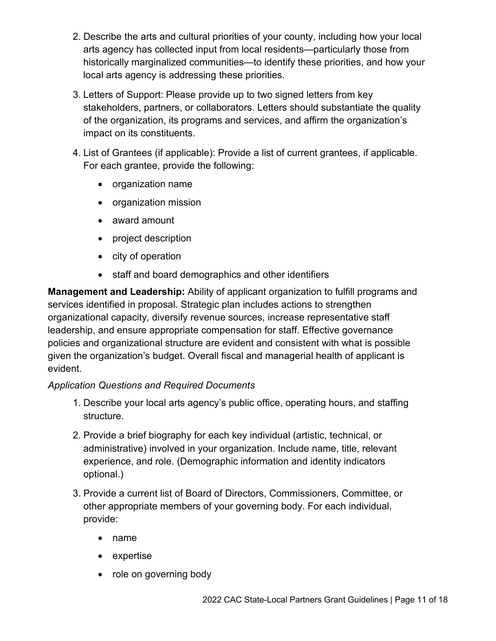- 2. Describe the arts and cultural priorities of your county, including how your local arts agency has collected input from local residents—particularly those from historically marginalized communities—to identify these priorities, and how your local arts agency is addressing these priorities.
- 3. Letters of Support: Please provide up to two signed letters from key stakeholders, partners, or collaborators. Letters should substantiate the quality of the organization, its programs and services, and affirm the organization's impact on its constituents.
- 4. List of Grantees (if applicable): Provide a list of current grantees, if applicable. For each grantee, provide the following:
	- organization name
	- organization mission
	- award amount
	- project description
	- city of operation
	- staff and board demographics and other identifiers

**Management and Leadership:** Ability of applicant organization to fulfill programs and services identified in proposal. Strategic plan includes actions to strengthen organizational capacity, diversify revenue sources, increase representative staff leadership, and ensure appropriate compensation for staff. Effective governance policies and organizational structure are evident and consistent with what is possible given the organization's budget. Overall fiscal and managerial health of applicant is evident.

- 1. Describe your local arts agency's public office, operating hours, and staffing structure.
- 2. Provide a brief biography for each key individual (artistic, technical, or administrative) involved in your organization. Include name, title, relevant experience, and role. (Demographic information and identity indicators optional.)
- 3. Provide a current list of Board of Directors, Commissioners, Committee, or other appropriate members of your governing body. For each individual, provide:
	- name
	- expertise
	- role on governing body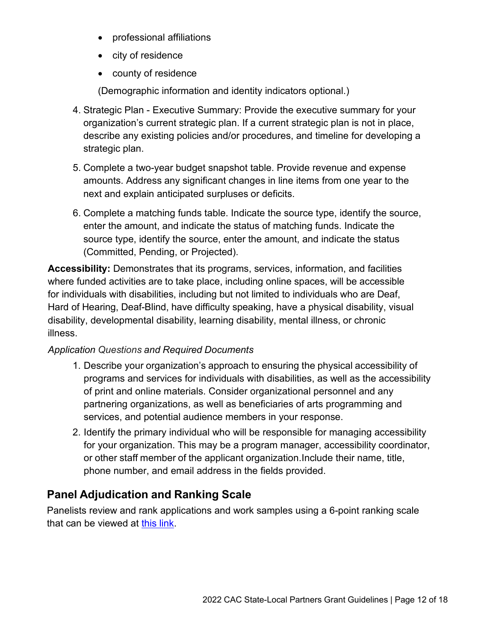- professional affiliations
- city of residence
- county of residence

(Demographic information and identity indicators optional.)

- 4. Strategic Plan Executive Summary: Provide the executive summary for your organization's current strategic plan. If a current strategic plan is not in place, describe any existing policies and/or procedures, and timeline for developing a strategic plan.
- 5. Complete a two-year budget snapshot table. Provide revenue and expense amounts. Address any significant changes in line items from one year to the next and explain anticipated surpluses or deficits.
- 6. Complete a matching funds table. Indicate the source type, identify the source, enter the amount, and indicate the status of matching funds. Indicate the source type, identify the source, enter the amount, and indicate the status (Committed, Pending, or Projected).

**Accessibility:** Demonstrates that its programs, services, information, and facilities where funded activities are to take place, including online spaces, will be accessible for individuals with disabilities, including but not limited to individuals who are Deaf, Hard of Hearing, Deaf-Blind, have difficulty speaking, have a physical disability, visual disability, developmental disability, learning disability, mental illness, or chronic illness.

#### *Application Questions and Required Documents*

- 1. Describe your organization's approach to ensuring the physical accessibility of programs and services for individuals with disabilities, as well as the accessibility of print and online materials. Consider organizational personnel and any partnering organizations, as well as beneficiaries of arts programming and services, and potential audience members in your response.
- 2. Identify the primary individual who will be responsible for managing accessibility for your organization. This may be a program manager, accessibility coordinator, or other staff member of the applicant organization.Include their name, title, phone number, and email address in the fields provided.

# **Panel Adjudication and Ranking Scale**

Panelists review and rank applications and work samples using a 6-point ranking scale that can be viewed at [this link.](https://arts.ca.gov/rankingguide/)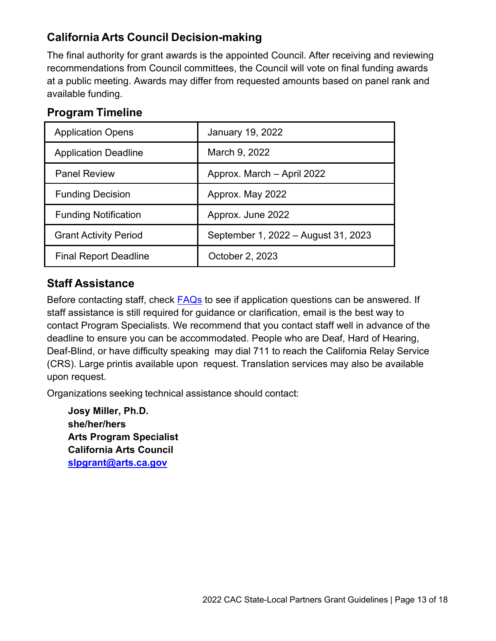# **California Arts Council Decision-making**

The final authority for grant awards is the appointed Council. After receiving and reviewing recommendations from Council committees, the Council will vote on final funding awards at a public meeting. Awards may differ from requested amounts based on panel rank and available funding.

| <b>Application Opens</b>     | January 19, 2022                    |
|------------------------------|-------------------------------------|
| <b>Application Deadline</b>  | March 9, 2022                       |
| <b>Panel Review</b>          | Approx. March - April 2022          |
| <b>Funding Decision</b>      | Approx. May 2022                    |
| <b>Funding Notification</b>  | Approx. June 2022                   |
| <b>Grant Activity Period</b> | September 1, 2022 – August 31, 2023 |
| <b>Final Report Deadline</b> | October 2, 2023                     |

# **Staff Assistance**

Before contacting staff, check [FAQs](https://arts.ca.gov/grants/faq/) to see if application questions can be answered. If staff assistance is still required for guidance or clarification, email is the best way to contact Program Specialists. We recommend that you contact staff well in advance of the deadline to ensure you can be accommodated. People who are Deaf, Hard of Hearing, Deaf-Blind, or have difficulty speaking may dial 711 to reach the California Relay Service (CRS). Large printis available upon request. Translation services may also be available upon request.

Organizations seeking technical assistance should contact:

**Josy Miller, Ph.D. she/her/hers Arts Program Specialist California Arts Council [slpgrant@arts.ca.gov](mailto:slpgrant@arts.ca.gov)**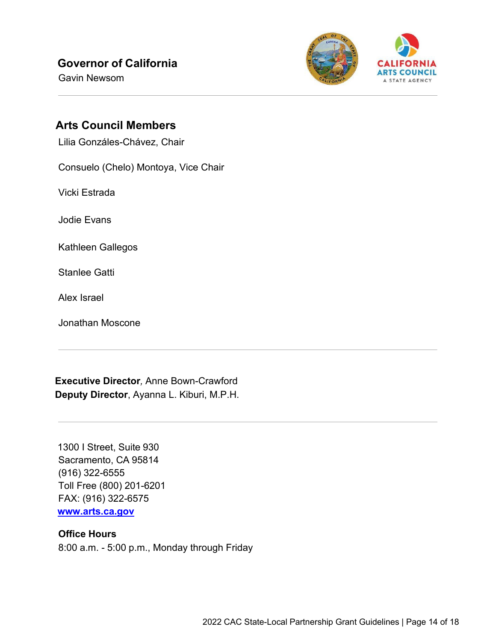# **Governor of California**

Gavin Newsom



### **Arts Council Members**

Lilia Gonzáles-Chávez, Chair

Consuelo (Chelo) Montoya, Vice Chair

Vicki Estrada

Jodie Evans

Kathleen Gallegos

Stanlee Gatti

Alex Israel

Jonathan Moscone

**Executive Director***,* Anne Bown-Crawford **Deputy Director**, Ayanna L. Kiburi, M.P.H.

1300 I Street, Suite 930 Sacramento, CA 95814 (916) 322-6555 Toll Free (800) 201-6201 FAX: (916) 322-6575 **[www.arts.ca.gov](http://www.arts.ca.gov/)**

#### **Office Hours**

8:00 a.m. - 5:00 p.m., Monday through Friday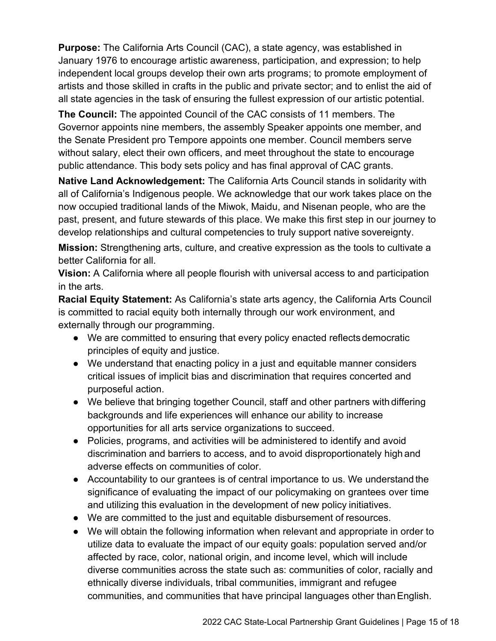**Purpose:** The California Arts Council (CAC), a state agency, was established in January 1976 to encourage artistic awareness, participation, and expression; to help independent local groups develop their own arts programs; to promote employment of artists and those skilled in crafts in the public and private sector; and to enlist the aid of all state agencies in the task of ensuring the fullest expression of our artistic potential.

**The Council:** The appointed Council of the CAC consists of 11 members. The Governor appoints nine members, the assembly Speaker appoints one member, and the Senate President pro Tempore appoints one member. Council members serve without salary, elect their own officers, and meet throughout the state to encourage public attendance. This body sets policy and has final approval of CAC grants.

**Native Land Acknowledgement:** The California Arts Council stands in solidarity with all of California's Indigenous people. We acknowledge that our work takes place on the now occupied traditional lands of the Miwok, Maidu, and Nisenan people, who are the past, present, and future stewards of this place. We make this first step in our journey to develop relationships and cultural competencies to truly support native sovereignty.

**Mission:** Strengthening arts, culture, and creative expression as the tools to cultivate a better California for all.

**Vision:** A California where all people flourish with universal access to and participation in the arts.

**Racial Equity Statement:** As California's state arts agency, the California Arts Council is committed to racial equity both internally through our work environment, and externally through our programming.

- We are committed to ensuring that every policy enacted reflects democratic principles of equity and justice.
- We understand that enacting policy in a just and equitable manner considers critical issues of implicit bias and discrimination that requires concerted and purposeful action.
- We believe that bringing together Council, staff and other partners with differing backgrounds and life experiences will enhance our ability to increase opportunities for all arts service organizations to succeed.
- Policies, programs, and activities will be administered to identify and avoid discrimination and barriers to access, and to avoid disproportionately high and adverse effects on communities of color.
- Accountability to our grantees is of central importance to us. We understand the significance of evaluating the impact of our policymaking on grantees over time and utilizing this evaluation in the development of new policy initiatives.
- We are committed to the just and equitable disbursement of resources.
- We will obtain the following information when relevant and appropriate in order to utilize data to evaluate the impact of our equity goals: population served and/or affected by race, color, national origin, and income level, which will include diverse communities across the state such as: communities of color, racially and ethnically diverse individuals, tribal communities, immigrant and refugee communities, and communities that have principal languages other thanEnglish.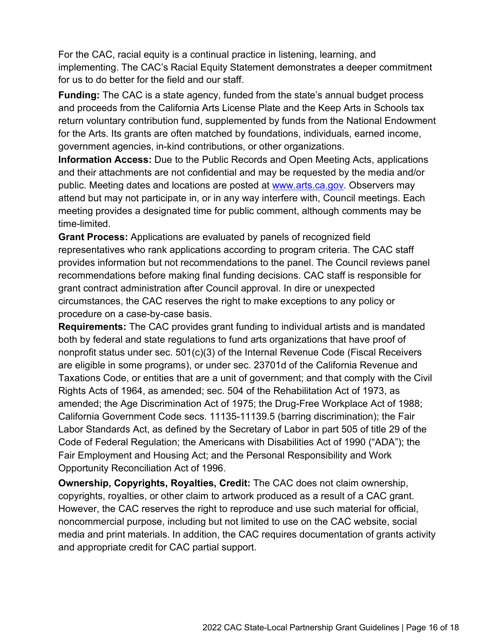For the CAC, racial equity is a continual practice in listening, learning, and implementing. The CAC's Racial Equity Statement demonstrates a deeper commitment for us to do better for the field and our staff.

**Funding:** The CAC is a state agency, funded from the state's annual budget process and proceeds from the California Arts License Plate and the Keep Arts in Schools tax return voluntary contribution fund, supplemented by funds from the National Endowment for the Arts. Its grants are often matched by foundations, individuals, earned income, government agencies, in-kind contributions, or other organizations.

**Information Access:** Due to the Public Records and Open Meeting Acts, applications and their attachments are not confidential and may be requested by the media and/or public. Meeting dates and locations are posted at [www.arts.ca.gov.](http://www.arts.ca.gov/) Observers may attend but may not participate in, or in any way interfere with, Council meetings. Each meeting provides a designated time for public comment, although comments may be time-limited.

**Grant Process:** Applications are evaluated by panels of recognized field representatives who rank applications according to program criteria. The CAC staff provides information but not recommendations to the panel. The Council reviews panel recommendations before making final funding decisions. CAC staff is responsible for grant contract administration after Council approval. In dire or unexpected circumstances, the CAC reserves the right to make exceptions to any policy or procedure on a case-by-case basis.

**Requirements:** The CAC provides grant funding to individual artists and is mandated both by federal and state regulations to fund arts organizations that have proof of nonprofit status under sec. 501(c)(3) of the Internal Revenue Code (Fiscal Receivers are eligible in some programs), or under sec. 23701d of the California Revenue and Taxations Code, or entities that are a unit of government; and that comply with the Civil Rights Acts of 1964, as amended; sec. 504 of the Rehabilitation Act of 1973, as amended; the Age Discrimination Act of 1975; the Drug-Free Workplace Act of 1988; California Government Code secs. 11135-11139.5 (barring discrimination); the Fair Labor Standards Act, as defined by the Secretary of Labor in part 505 of title 29 of the Code of Federal Regulation; the Americans with Disabilities Act of 1990 ("ADA"); the Fair Employment and Housing Act; and the Personal Responsibility and Work Opportunity Reconciliation Act of 1996.

**Ownership, Copyrights, Royalties, Credit:** The CAC does not claim ownership, copyrights, royalties, or other claim to artwork produced as a result of a CAC grant. However, the CAC reserves the right to reproduce and use such material for official, noncommercial purpose, including but not limited to use on the CAC website, social media and print materials. In addition, the CAC requires documentation of grants activity and appropriate credit for CAC partial support.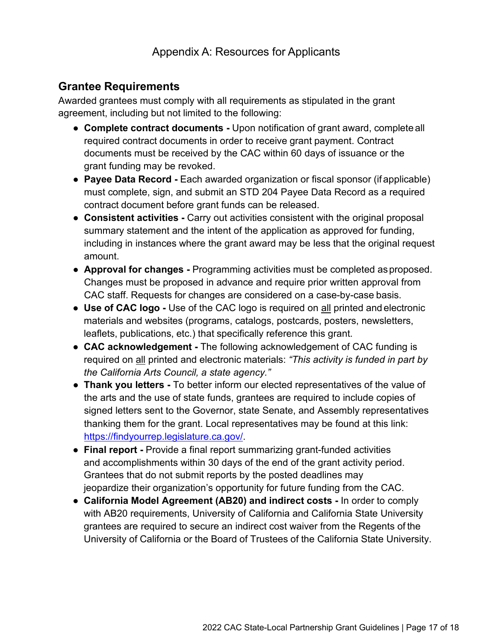## **Grantee Requirements**

Awarded grantees must comply with all requirements as stipulated in the grant agreement, including but not limited to the following:

- **Complete contract documents** Upon notification of grant award, complete all required contract documents in order to receive grant payment. Contract documents must be received by the CAC within 60 days of issuance or the grant funding may be revoked.
- **Payee Data Record** Each awarded organization or fiscal sponsor (if applicable) must complete, sign, and submit an STD 204 Payee Data Record as a required contract document before grant funds can be released.
- **Consistent activities** Carry out activities consistent with the original proposal summary statement and the intent of the application as approved for funding, including in instances where the grant award may be less that the original request amount.
- **Approval for changes** Programming activities must be completed asproposed. Changes must be proposed in advance and require prior written approval from CAC staff. Requests for changes are considered on a case-by-case basis.
- **Use of CAC logo** Use of the CAC logo is required on all printed and electronic materials and websites (programs, catalogs, postcards, posters, newsletters, leaflets, publications, etc.) that specifically reference this grant.
- **CAC acknowledgement** The following acknowledgement of CAC funding is required on all printed and electronic materials: *"This activity is funded in part by the California Arts Council, a state agency."*
- **Thank you letters -** To better inform our elected representatives of the value of the arts and the use of state funds, grantees are required to include copies of signed letters sent to the Governor, state Senate, and Assembly representatives thanking them for the grant. Local representatives may be found at this link: [https://findyourrep.legislature.ca.gov/.](https://findyourrep.legislature.ca.gov/)
- **Final report** Provide a final report summarizing grant-funded activities and accomplishments within 30 days of the end of the grant activity period. Grantees that do not submit reports by the posted deadlines may jeopardize their organization's opportunity for future funding from the CAC.
- **California Model Agreement (AB20) and indirect costs** In order to comply with AB20 requirements, University of California and California State University grantees are required to secure an indirect cost waiver from the Regents of the University of California or the Board of Trustees of the California State University.